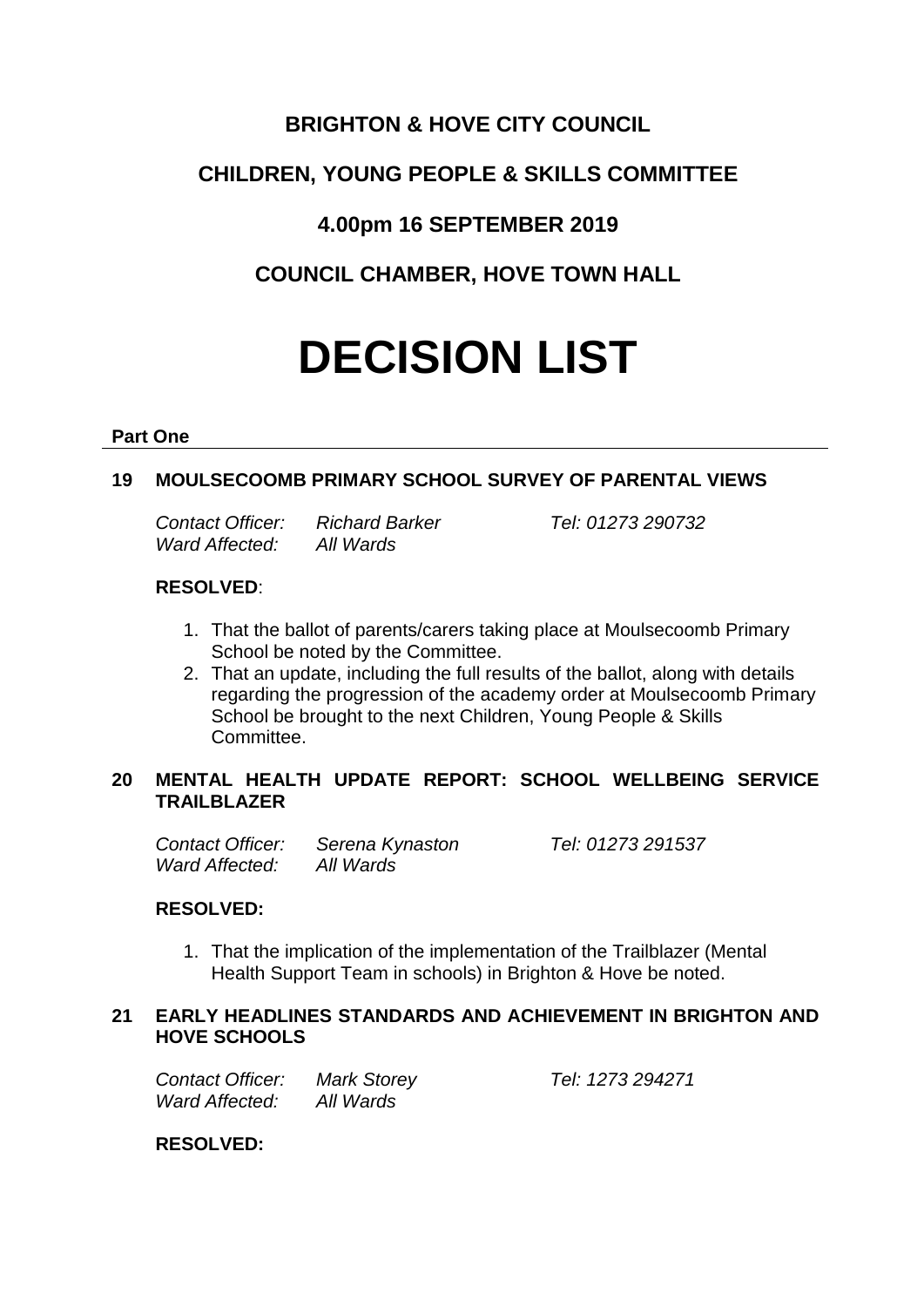# **BRIGHTON & HOVE CITY COUNCIL**

# **CHILDREN, YOUNG PEOPLE & SKILLS COMMITTEE**

# **4.00pm 16 SEPTEMBER 2019**

**COUNCIL CHAMBER, HOVE TOWN HALL**

# **DECISION LIST**

#### **Part One**

## **19 MOULSECOOMB PRIMARY SCHOOL SURVEY OF PARENTAL VIEWS**

| Contact Officer:      | <b>Richard Bar</b> |
|-----------------------|--------------------|
| <b>Ward Affected:</b> | All Wards          |

*Contact Officer: Richard Barker Tel: 01273 290732*

#### **RESOLVED**:

- 1. That the ballot of parents/carers taking place at Moulsecoomb Primary School be noted by the Committee.
- 2. That an update, including the full results of the ballot, along with details regarding the progression of the academy order at Moulsecoomb Primary School be brought to the next Children, Young People & Skills Committee.

### **20 MENTAL HEALTH UPDATE REPORT: SCHOOL WELLBEING SERVICE TRAILBLAZER**

*Contact Officer: Serena Kynaston Tel: 01273 291537 Ward Affected: All Wards*

## **RESOLVED:**

1. That the implication of the implementation of the Trailblazer (Mental Health Support Team in schools) in Brighton & Hove be noted.

#### **21 EARLY HEADLINES STANDARDS AND ACHIEVEMENT IN BRIGHTON AND HOVE SCHOOLS**

*Contact Officer: Mark Storey Tel: 1273 294271 Ward Affected: All Wards*

**RESOLVED:**